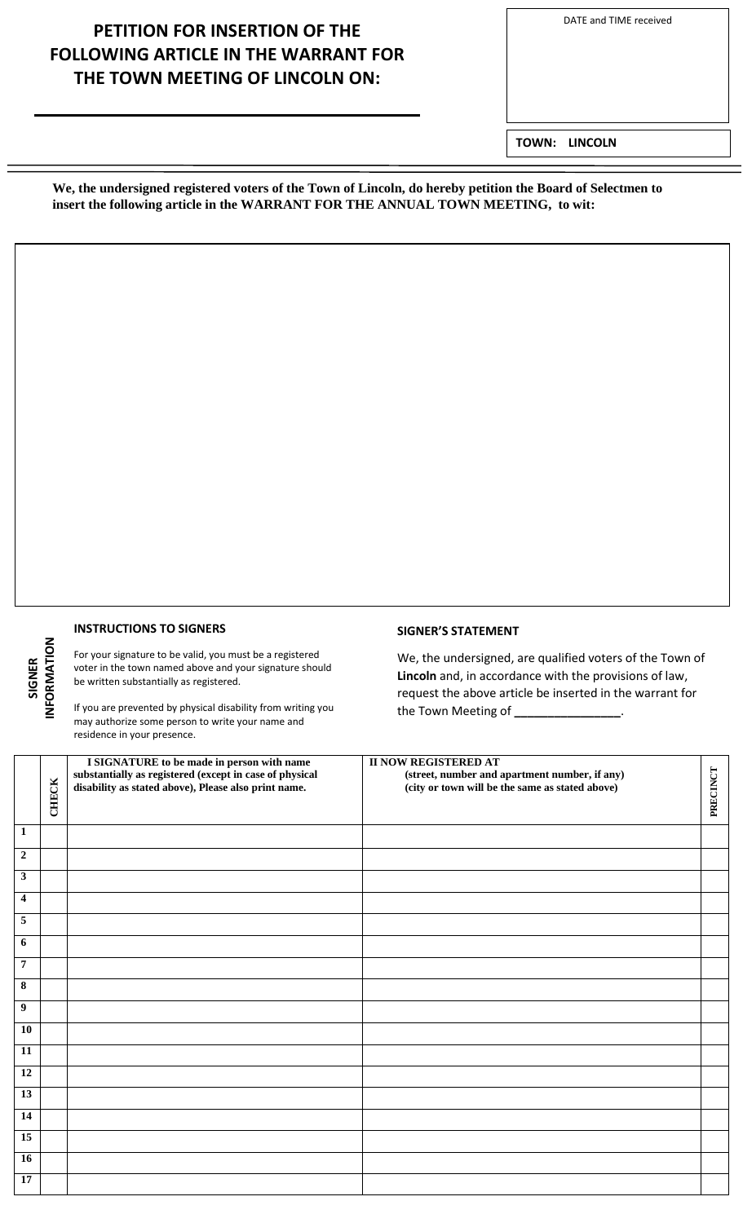#### DATE and TIME received

# **PETITION FOR INSERTION OF THE FOLLOWING ARTICLE IN THE WARRANT FOR THE TOWN MEETING OF LINCOLN ON:**

**TOWN: LINCOLN**

**We, the undersigned registered voters of the Town of Lincoln, do hereby petition the Board of Selectmen to insert the following article in the WARRANT FOR THE ANNUAL TOWN MEETING, to wit:**

### **INSTRUCTIONS TO SIGNERS**

**SIGNER INFORMATION**

For your signature to be valid, you must be a registered voter in the town named above and your signature should be written substantially as registered.

If you are prevented by physical disability from writing you may authorize some person to write your name and residence in your presence.

### **SIGNER'S STATEMENT**

We, the undersigned, are qualified voters of the Town of **Lincoln** and, in accordance with the provisions of law, request the above article be inserted in the warrant for the Town Meeting of **\_\_\_\_\_\_\_\_\_\_\_\_\_\_\_\_**.

|                         | <b>CHECK</b> | I SIGNATURE to be made in person with name<br>substantially as registered (except in case of physical<br>disability as stated above), Please also print name. | <b>II NOW REGISTERED AT</b><br>(street, number and apartment number, if any)<br>(city or town will be the same as stated above) | PRECINCT |
|-------------------------|--------------|---------------------------------------------------------------------------------------------------------------------------------------------------------------|---------------------------------------------------------------------------------------------------------------------------------|----------|
| $\overline{1}$          |              |                                                                                                                                                               |                                                                                                                                 |          |
| $\overline{2}$          |              |                                                                                                                                                               |                                                                                                                                 |          |
| $\overline{\mathbf{3}}$ |              |                                                                                                                                                               |                                                                                                                                 |          |
| $\overline{\mathbf{4}}$ |              |                                                                                                                                                               |                                                                                                                                 |          |
| $\overline{5}$          |              |                                                                                                                                                               |                                                                                                                                 |          |
| 6                       |              |                                                                                                                                                               |                                                                                                                                 |          |
| $\overline{7}$          |              |                                                                                                                                                               |                                                                                                                                 |          |
| $\overline{\mathbf{8}}$ |              |                                                                                                                                                               |                                                                                                                                 |          |
| $\overline{9}$          |              |                                                                                                                                                               |                                                                                                                                 |          |
| 10                      |              |                                                                                                                                                               |                                                                                                                                 |          |
| 11                      |              |                                                                                                                                                               |                                                                                                                                 |          |
| 12                      |              |                                                                                                                                                               |                                                                                                                                 |          |
| 13                      |              |                                                                                                                                                               |                                                                                                                                 |          |
| $\overline{14}$         |              |                                                                                                                                                               |                                                                                                                                 |          |
| 15                      |              |                                                                                                                                                               |                                                                                                                                 |          |
| 16                      |              |                                                                                                                                                               |                                                                                                                                 |          |
| $\overline{17}$         |              |                                                                                                                                                               |                                                                                                                                 |          |